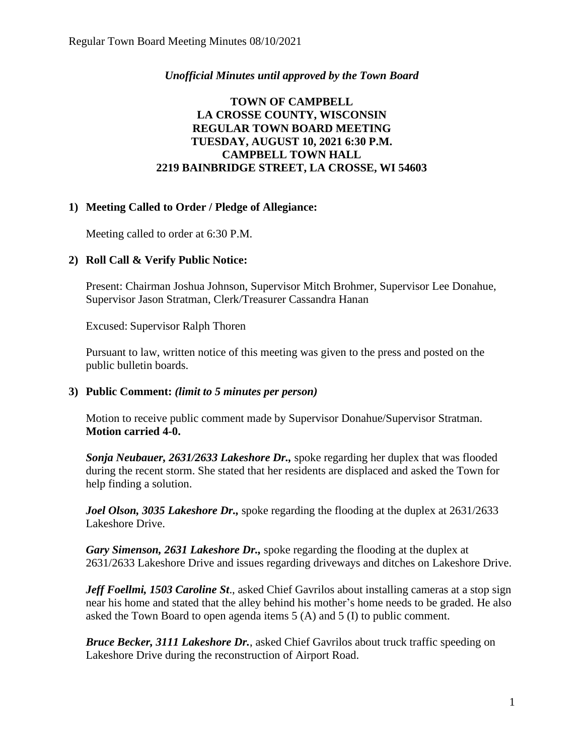## *Unofficial Minutes until approved by the Town Board*

# **TOWN OF CAMPBELL LA CROSSE COUNTY, WISCONSIN REGULAR TOWN BOARD MEETING TUESDAY, AUGUST 10, 2021 6:30 P.M. CAMPBELL TOWN HALL 2219 BAINBRIDGE STREET, LA CROSSE, WI 54603**

## **1) Meeting Called to Order / Pledge of Allegiance:**

Meeting called to order at 6:30 P.M.

## **2) Roll Call & Verify Public Notice:**

Present: Chairman Joshua Johnson, Supervisor Mitch Brohmer, Supervisor Lee Donahue, Supervisor Jason Stratman, Clerk/Treasurer Cassandra Hanan

Excused: Supervisor Ralph Thoren

Pursuant to law, written notice of this meeting was given to the press and posted on the public bulletin boards.

#### **3) Public Comment:** *(limit to 5 minutes per person)*

Motion to receive public comment made by Supervisor Donahue/Supervisor Stratman. **Motion carried 4-0.**

*Sonja Neubauer, 2631/2633 Lakeshore Dr.,* spoke regarding her duplex that was flooded during the recent storm. She stated that her residents are displaced and asked the Town for help finding a solution.

*Joel Olson, 3035 Lakeshore Dr., spoke regarding the flooding at the duplex at 2631/2633* Lakeshore Drive.

*Gary Simenson, 2631 Lakeshore Dr.,* spoke regarding the flooding at the duplex at 2631/2633 Lakeshore Drive and issues regarding driveways and ditches on Lakeshore Drive.

*Jeff Foellmi, 1503 Caroline St*., asked Chief Gavrilos about installing cameras at a stop sign near his home and stated that the alley behind his mother's home needs to be graded. He also asked the Town Board to open agenda items 5 (A) and 5 (I) to public comment.

*Bruce Becker, 3111 Lakeshore Dr.*, asked Chief Gavrilos about truck traffic speeding on Lakeshore Drive during the reconstruction of Airport Road.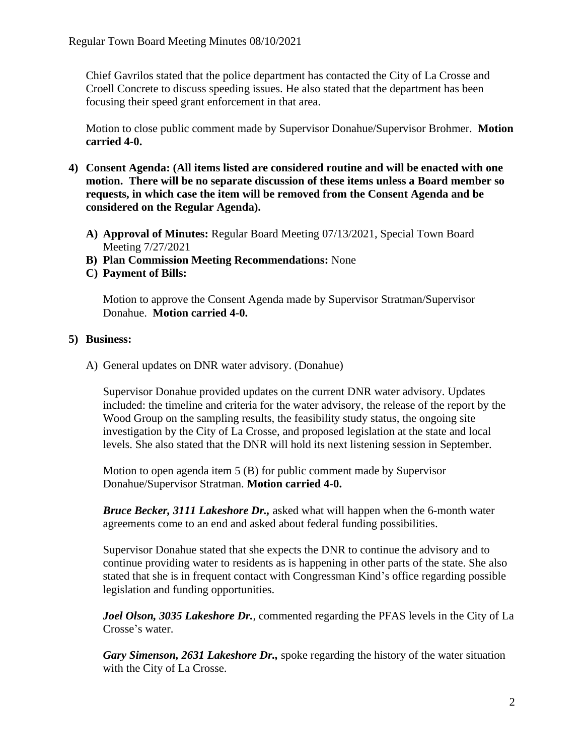Chief Gavrilos stated that the police department has contacted the City of La Crosse and Croell Concrete to discuss speeding issues. He also stated that the department has been focusing their speed grant enforcement in that area.

Motion to close public comment made by Supervisor Donahue/Supervisor Brohmer. **Motion carried 4-0.**

- **4) Consent Agenda: (All items listed are considered routine and will be enacted with one motion. There will be no separate discussion of these items unless a Board member so requests, in which case the item will be removed from the Consent Agenda and be considered on the Regular Agenda).**
	- **A) Approval of Minutes:** Regular Board Meeting 07/13/2021, Special Town Board Meeting 7/27/2021
	- **B) Plan Commission Meeting Recommendations:** None
	- **C) Payment of Bills:**

Motion to approve the Consent Agenda made by Supervisor Stratman/Supervisor Donahue. **Motion carried 4-0.** 

# **5) Business:**

A) General updates on DNR water advisory. (Donahue)

Supervisor Donahue provided updates on the current DNR water advisory. Updates included: the timeline and criteria for the water advisory, the release of the report by the Wood Group on the sampling results, the feasibility study status, the ongoing site investigation by the City of La Crosse, and proposed legislation at the state and local levels. She also stated that the DNR will hold its next listening session in September.

Motion to open agenda item 5 (B) for public comment made by Supervisor Donahue/Supervisor Stratman. **Motion carried 4-0.**

*Bruce Becker, 3111 Lakeshore Dr.,* asked what will happen when the 6-month water agreements come to an end and asked about federal funding possibilities.

Supervisor Donahue stated that she expects the DNR to continue the advisory and to continue providing water to residents as is happening in other parts of the state. She also stated that she is in frequent contact with Congressman Kind's office regarding possible legislation and funding opportunities.

*Joel Olson, 3035 Lakeshore Dr.*, commented regarding the PFAS levels in the City of La Crosse's water.

*Gary Simenson, 2631 Lakeshore Dr.,* spoke regarding the history of the water situation with the City of La Crosse.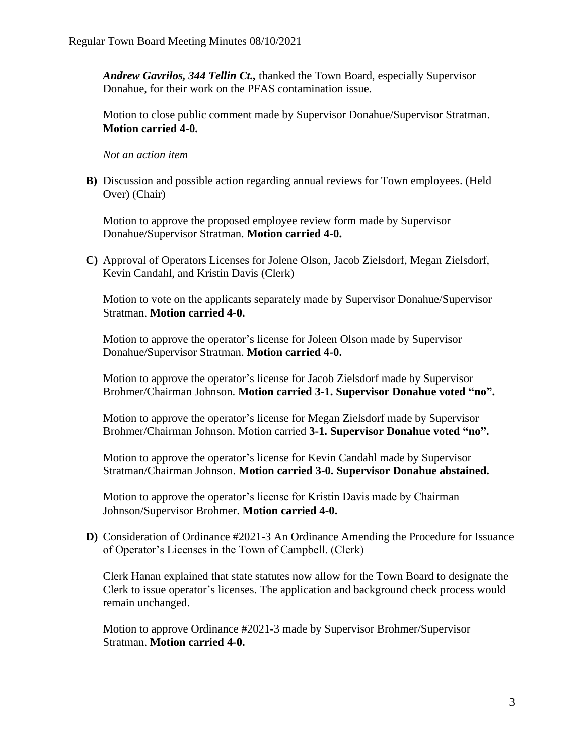*Andrew Gavrilos, 344 Tellin Ct.,* thanked the Town Board, especially Supervisor Donahue, for their work on the PFAS contamination issue.

Motion to close public comment made by Supervisor Donahue/Supervisor Stratman. **Motion carried 4-0.**

*Not an action item*

**B)** Discussion and possible action regarding annual reviews for Town employees. (Held Over) (Chair)

Motion to approve the proposed employee review form made by Supervisor Donahue/Supervisor Stratman. **Motion carried 4-0.**

**C)** Approval of Operators Licenses for Jolene Olson, Jacob Zielsdorf, Megan Zielsdorf, Kevin Candahl, and Kristin Davis (Clerk)

Motion to vote on the applicants separately made by Supervisor Donahue/Supervisor Stratman. **Motion carried 4-0.**

Motion to approve the operator's license for Joleen Olson made by Supervisor Donahue/Supervisor Stratman. **Motion carried 4-0.**

Motion to approve the operator's license for Jacob Zielsdorf made by Supervisor Brohmer/Chairman Johnson. **Motion carried 3-1. Supervisor Donahue voted "no".**

Motion to approve the operator's license for Megan Zielsdorf made by Supervisor Brohmer/Chairman Johnson. Motion carried **3-1. Supervisor Donahue voted "no".**

Motion to approve the operator's license for Kevin Candahl made by Supervisor Stratman/Chairman Johnson. **Motion carried 3-0. Supervisor Donahue abstained.** 

Motion to approve the operator's license for Kristin Davis made by Chairman Johnson/Supervisor Brohmer. **Motion carried 4-0.**

**D)** Consideration of Ordinance #2021-3 An Ordinance Amending the Procedure for Issuance of Operator's Licenses in the Town of Campbell. (Clerk)

Clerk Hanan explained that state statutes now allow for the Town Board to designate the Clerk to issue operator's licenses. The application and background check process would remain unchanged.

Motion to approve Ordinance #2021-3 made by Supervisor Brohmer/Supervisor Stratman. **Motion carried 4-0.**